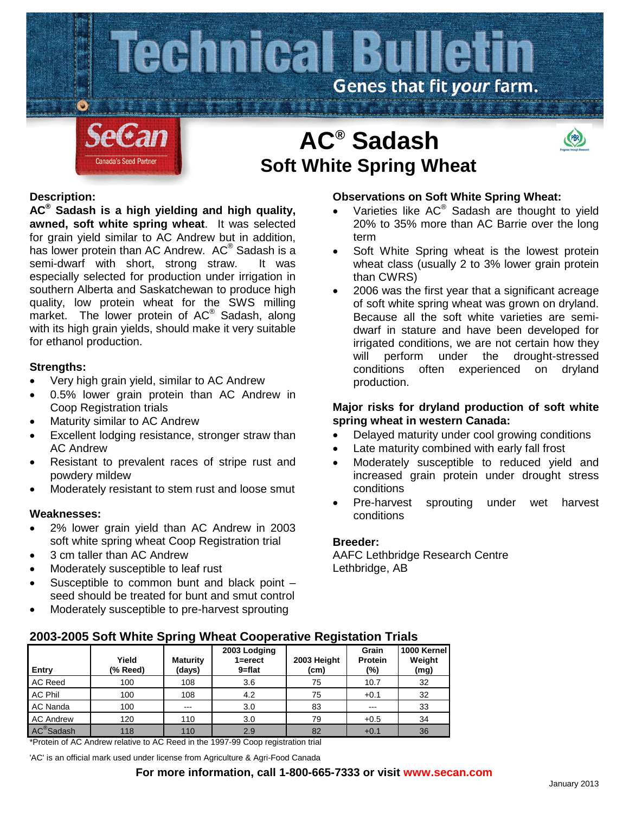

# **Description:**

**AC® Sadash is a high yielding and high quality, awned, soft white spring wheat**.It was selected for grain yield similar to AC Andrew but in addition, has lower protein than AC Andrew. AC<sup>®</sup> Sadash is a semi-dwarf with short, strong straw. It was especially selected for production under irrigation in southern Alberta and Saskatchewan to produce high quality, low protein wheat for the SWS milling market. The lower protein of AC<sup>®</sup> Sadash, along with its high grain yields, should make it very suitable for ethanol production.

# **Strengths:**

- Very high grain yield, similar to AC Andrew
- 0.5% lower grain protein than AC Andrew in Coop Registration trials
- Maturity similar to AC Andrew
- Excellent lodging resistance, stronger straw than AC Andrew
- Resistant to prevalent races of stripe rust and powdery mildew
- Moderately resistant to stem rust and loose smut

#### **Weaknesses:**

- 2% lower grain yield than AC Andrew in 2003 soft white spring wheat Coop Registration trial
- 3 cm taller than AC Andrew
- Moderately susceptible to leaf rust
- Susceptible to common bunt and black point seed should be treated for bunt and smut control
- Moderately susceptible to pre-harvest sprouting

# **Observations on Soft White Spring Wheat:**

- Varieties like AC® Sadash are thought to yield 20% to 35% more than AC Barrie over the long term
- Soft White Spring wheat is the lowest protein wheat class (usually 2 to 3% lower grain protein than CWRS)
- 2006 was the first year that a significant acreage of soft white spring wheat was grown on dryland. Because all the soft white varieties are semidwarf in stature and have been developed for irrigated conditions, we are not certain how they will perform under the drought-stressed conditions often experienced on dryland production.

# **Major risks for dryland production of soft white spring wheat in western Canada:**

- Delayed maturity under cool growing conditions
- Late maturity combined with early fall frost
- Moderately susceptible to reduced yield and increased grain protein under drought stress conditions
- Pre-harvest sprouting under wet harvest conditions

### **Breeder:**

AAFC Lethbridge Research Centre Lethbridge, AB

# **2003-2005 Soft White Spring Wheat Cooperative Registation Trials**

| Entry                  | Yield<br>(% Reed) | <b>Maturity</b><br>(days) | 2003 Lodging<br>$1 =$ erect<br>$9 = flat$ | 2003 Height<br>(cm) | Grain<br>Protein<br>(%) | 1000 Kernel<br>Weight<br>(mg) |
|------------------------|-------------------|---------------------------|-------------------------------------------|---------------------|-------------------------|-------------------------------|
| AC Reed                | 100               | 108                       | 3.6                                       | 75                  | 10.7                    | 32                            |
| <b>AC Phil</b>         | 100               | 108                       | 4.2                                       | 75                  | $+0.1$                  | 32                            |
| AC Nanda               | 100               | $- - -$                   | 3.0                                       | 83                  | ---                     | 33                            |
| <b>AC Andrew</b>       | 120               | 110                       | 3.0                                       | 79                  | $+0.5$                  | 34                            |
| AC <sup>®</sup> Sadash | 118               | 110                       | 2.9                                       | 82                  | $+0.1$                  | 36                            |

\*Protein of AC Andrew relative to AC Reed in the 1997-99 Coop registration trial

'AC' is an official mark used under license from Agriculture & Agri-Food Canada

# **For more information, call 1-800-665-7333 or visit www.secan.com**